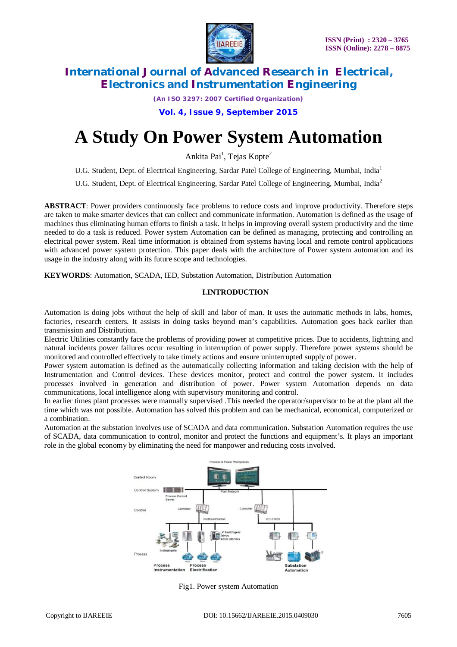

*(An ISO 3297: 2007 Certified Organization)*

**Vol. 4, Issue 9, September 2015**

# **A Study On Power System Automation**

Ankita Pai<sup>1</sup>, Tejas Kopte<sup>2</sup>

U.G. Student, Dept. of Electrical Engineering, Sardar Patel College of Engineering, Mumbai, India<sup>1</sup>

U.G. Student, Dept. of Electrical Engineering, Sardar Patel College of Engineering, Mumbai, India<sup>2</sup>

**ABSTRACT**: Power providers continuously face problems to reduce costs and improve productivity. Therefore steps are taken to make smarter devices that can collect and communicate information. Automation is defined as the usage of machines thus eliminating human efforts to finish a task. It helps in improving overall system productivity and the time needed to do a task is reduced. Power system Automation can be defined as managing, protecting and controlling an electrical power system. Real time information is obtained from systems having local and remote control applications with advanced power system protection. This paper deals with the architecture of Power system automation and its usage in the industry along with its future scope and technologies.

**KEYWORDS**: Automation, SCADA, IED, Substation Automation, Distribution Automation

#### **I.INTRODUCTION**

Automation is doing jobs without the help of skill and labor of man. It uses the automatic methods in labs, homes, factories, research centers. It assists in doing tasks beyond man's capabilities. Automation goes back earlier than transmission and Distribution.

Electric Utilities constantly face the problems of providing power at competitive prices. Due to accidents, lightning and natural incidents power failures occur resulting in interruption of power supply. Therefore power systems should be monitored and controlled effectively to take timely actions and ensure uninterrupted supply of power.

Power system automation is defined as the automatically collecting information and taking decision with the help of Instrumentation and Control devices. These devices monitor, protect and control the power system. It includes processes involved in generation and distribution of power. Power system Automation depends on data communications, local intelligence along with supervisory monitoring and control.

In earlier times plant processes were manually supervised .This needed the operator/supervisor to be at the plant all the time which was not possible. Automation has solved this problem and can be mechanical, economical, computerized or a combination.

Automation at the substation involves use of SCADA and data communication. Substation Automation requires the use of SCADA, data communication to control, monitor and protect the functions and equipment's. It plays an important role in the global economy by eliminating the need for manpower and reducing costs involved.



Fig1. Power system Automation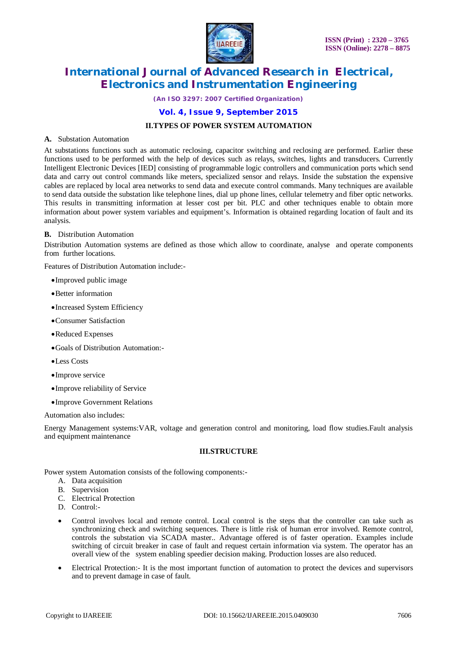

*(An ISO 3297: 2007 Certified Organization)*

### **Vol. 4, Issue 9, September 2015**

#### **II.TYPES OF POWER SYSTEM AUTOMATION**

#### **A.** Substation Automation

At substations functions such as automatic reclosing, capacitor switching and reclosing are performed. Earlier these functions used to be performed with the help of devices such as relays, switches, lights and transducers. Currently Intelligent Electronic Devices [IED] consisting of programmable logic controllers and communication ports which send data and carry out control commands like meters, specialized sensor and relays. Inside the substation the expensive cables are replaced by local area networks to send data and execute control commands. Many techniques are available to send data outside the substation like telephone lines, dial up phone lines, cellular telemetry and fiber optic networks. This results in transmitting information at lesser cost per bit. PLC and other techniques enable to obtain more information about power system variables and equipment's. Information is obtained regarding location of fault and its analysis.

#### **B.** Distribution Automation

Distribution Automation systems are defined as those which allow to coordinate, analyse and operate components from further locations.

Features of Distribution Automation include:-

- Improved public image
- Better information
- Increased System Efficiency
- Consumer Satisfaction
- Reduced Expenses
- Goals of Distribution Automation:-
- •Less Costs
- Improve service
- Improve reliability of Service
- Improve Government Relations

Automation also includes:

Energy Management systems:VAR, voltage and generation control and monitoring, load flow studies.Fault analysis and equipment maintenance

#### **III.STRUCTURE**

Power system Automation consists of the following components:-

- A. Data acquisition
- B. Supervision
- C. Electrical Protection
- D. Control:-
- Control involves local and remote control. Local control is the steps that the controller can take such as synchronizing check and switching sequences. There is little risk of human error involved. Remote control, controls the substation via SCADA master.. Advantage offered is of faster operation. Examples include switching of circuit breaker in case of fault and request certain information via system. The operator has an overall view of the system enabling speedier decision making. Production losses are also reduced.
- Electrical Protection:- It is the most important function of automation to protect the devices and supervisors and to prevent damage in case of fault.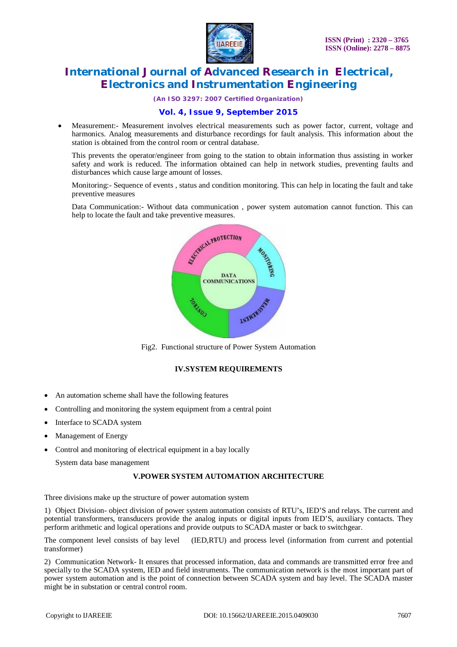

*(An ISO 3297: 2007 Certified Organization)*

### **Vol. 4, Issue 9, September 2015**

 Measurement:- Measurement involves electrical measurements such as power factor, current, voltage and harmonics. Analog measurements and disturbance recordings for fault analysis. This information about the station is obtained from the control room or central database.

This prevents the operator/engineer from going to the station to obtain information thus assisting in worker safety and work is reduced. The information obtained can help in network studies, preventing faults and disturbances which cause large amount of losses.

Monitoring:- Sequence of events , status and condition monitoring. This can help in locating the fault and take preventive measures

Data Communication:- Without data communication , power system automation cannot function. This can help to locate the fault and take preventive measures.



Fig2. Functional structure of Power System Automation

#### **IV.SYSTEM REQUIREMENTS**

- An automation scheme shall have the following features
- Controlling and monitoring the system equipment from a central point
- Interface to SCADA system
- Management of Energy
- Control and monitoring of electrical equipment in a bay locally

System data base management

#### **V.POWER SYSTEM AUTOMATION ARCHITECTURE**

Three divisions make up the structure of power automation system

1) Object Division- object division of power system automation consists of RTU's, IED'S and relays. The current and potential transformers, transducers provide the analog inputs or digital inputs from IED'S, auxiliary contacts. They perform arithmetic and logical operations and provide outputs to SCADA master or back to switchgear.

The component level consists of bay level (IED,RTU) and process level (information from current and potential transformer)

2) Communication Network- It ensures that processed information, data and commands are transmitted error free and specially to the SCADA system, IED and field instruments. The communication network is the most important part of power system automation and is the point of connection between SCADA system and bay level. The SCADA master might be in substation or central control room.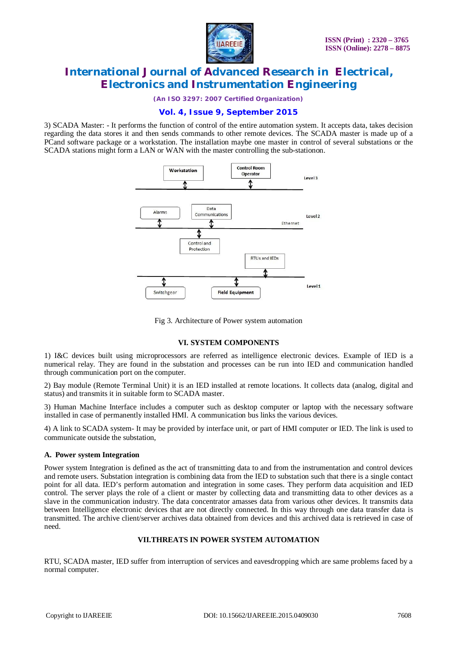

*(An ISO 3297: 2007 Certified Organization)*

## **Vol. 4, Issue 9, September 2015**

3) SCADA Master: - It performs the function of control of the entire automation system. It accepts data, takes decision regarding the data stores it and then sends commands to other remote devices. The SCADA master is made up of a PCand software package or a workstation. The installation maybe one master in control of several substations or the SCADA stations might form a LAN or WAN with the master controlling the sub-stationon.



Fig 3. Architecture of Power system automation

#### **VI. SYSTEM COMPONENTS**

1) I&C devices built using microprocessors are referred as intelligence electronic devices. Example of IED is a numerical relay. They are found in the substation and processes can be run into IED and communication handled through communication port on the computer.

2) Bay module (Remote Terminal Unit) it is an IED installed at remote locations. It collects data (analog, digital and status) and transmits it in suitable form to SCADA master.

3) Human Machine Interface includes a computer such as desktop computer or laptop with the necessary software installed in case of permanently installed HMI. A communication bus links the various devices.

4) A link to SCADA system- It may be provided by interface unit, or part of HMI computer or IED. The link is used to communicate outside the substation,

#### **A. Power system Integration**

Power system Integration is defined as the act of transmitting data to and from the instrumentation and control devices and remote users. Substation integration is combining data from the IED to substation such that there is a single contact point for all data. IED's perform automation and integration in some cases. They perform data acquisition and IED control. The server plays the role of a client or master by collecting data and transmitting data to other devices as a slave in the communication industry. The data concentrator amasses data from various other devices. It transmits data between Intelligence electronic devices that are not directly connected. In this way through one data transfer data is transmitted. The archive client/server archives data obtained from devices and this archived data is retrieved in case of need.

### **VII.THREATS IN POWER SYSTEM AUTOMATION**

RTU, SCADA master, IED suffer from interruption of services and eavesdropping which are same problems faced by a normal computer.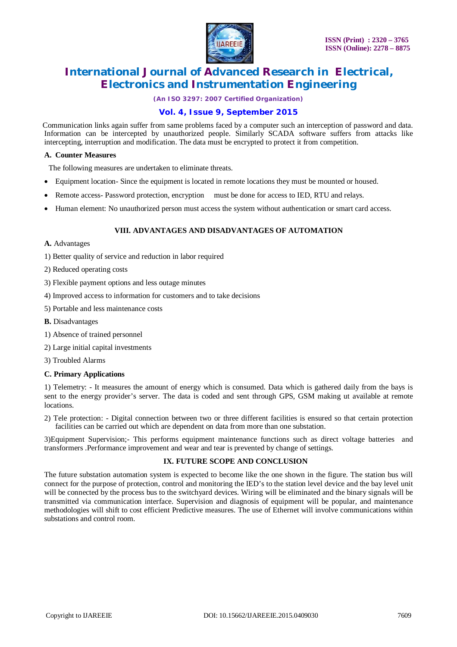

*(An ISO 3297: 2007 Certified Organization)*

## **Vol. 4, Issue 9, September 2015**

 Communication links again suffer from same problems faced by a computer such an interception of password and data. Information can be intercepted by unauthorized people. Similarly SCADA software suffers from attacks like intercepting, interruption and modification. The data must be encrypted to protect it from competition.

#### **A. Counter Measures**

The following measures are undertaken to eliminate threats.

- Equipment location- Since the equipment is located in remote locations they must be mounted or housed.
- Remote access- Password protection, encryption must be done for access to IED, RTU and relays.
- Human element: No unauthorized person must access the system without authentication or smart card access.

### **VIII. ADVANTAGES AND DISADVANTAGES OF AUTOMATION**

#### **A.** Advantages

- 1) Better quality of service and reduction in labor required
- 2) Reduced operating costs
- 3) Flexible payment options and less outage minutes
- 4) Improved access to information for customers and to take decisions
- 5) Portable and less maintenance costs
- **B.** Disadvantages
- 1) Absence of trained personnel
- 2) Large initial capital investments
- 3) Troubled Alarms

#### **C. Primary Applications**

1) Telemetry: - It measures the amount of energy which is consumed. Data which is gathered daily from the bays is sent to the energy provider's server. The data is coded and sent through GPS, GSM making ut available at remote locations.

2) Tele protection: - Digital connection between two or three different facilities is ensured so that certain protection facilities can be carried out which are dependent on data from more than one substation.

3)Equipment Supervision;- This performs equipment maintenance functions such as direct voltage batteries and transformers .Performance improvement and wear and tear is prevented by change of settings.

#### **IX. FUTURE SCOPE AND CONCLUSION**

The future substation automation system is expected to become like the one shown in the figure. The station bus will connect for the purpose of protection, control and monitoring the IED's to the station level device and the bay level unit will be connected by the process bus to the switchyard devices. Wiring will be eliminated and the binary signals will be transmitted via communication interface. Supervision and diagnosis of equipment will be popular, and maintenance methodologies will shift to cost efficient Predictive measures. The use of Ethernet will involve communications within substations and control room.